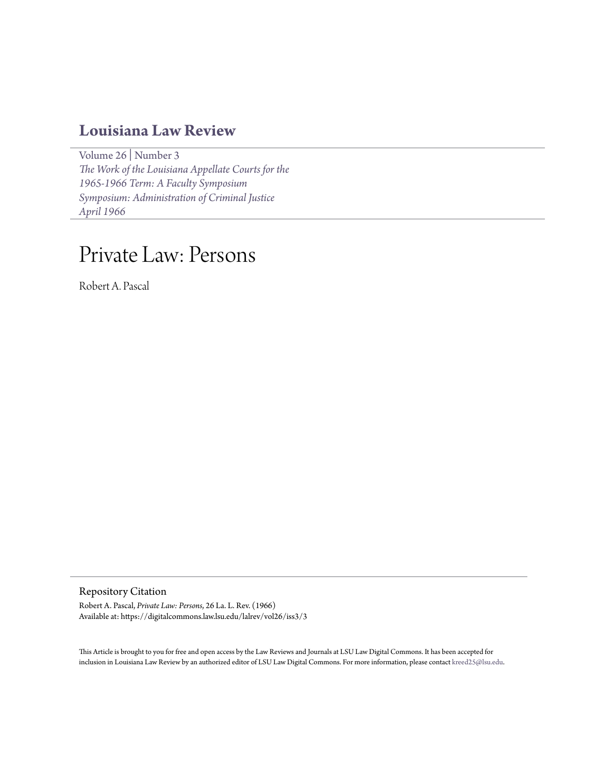### **[Louisiana Law Review](https://digitalcommons.law.lsu.edu/lalrev)**

[Volume 26](https://digitalcommons.law.lsu.edu/lalrev/vol26) | [Number 3](https://digitalcommons.law.lsu.edu/lalrev/vol26/iss3) *[The Work of the Louisiana Appellate Courts for the](https://digitalcommons.law.lsu.edu/lalrev/vol26/iss3) [1965-1966 Term: A Faculty Symposium](https://digitalcommons.law.lsu.edu/lalrev/vol26/iss3) [Symposium: Administration of Criminal Justice](https://digitalcommons.law.lsu.edu/lalrev/vol26/iss3) [April 1966](https://digitalcommons.law.lsu.edu/lalrev/vol26/iss3)*

# Private Law: Persons

Robert A. Pascal

Repository Citation

Robert A. Pascal, *Private Law: Persons*, 26 La. L. Rev. (1966) Available at: https://digitalcommons.law.lsu.edu/lalrev/vol26/iss3/3

This Article is brought to you for free and open access by the Law Reviews and Journals at LSU Law Digital Commons. It has been accepted for inclusion in Louisiana Law Review by an authorized editor of LSU Law Digital Commons. For more information, please contact [kreed25@lsu.edu](mailto:kreed25@lsu.edu).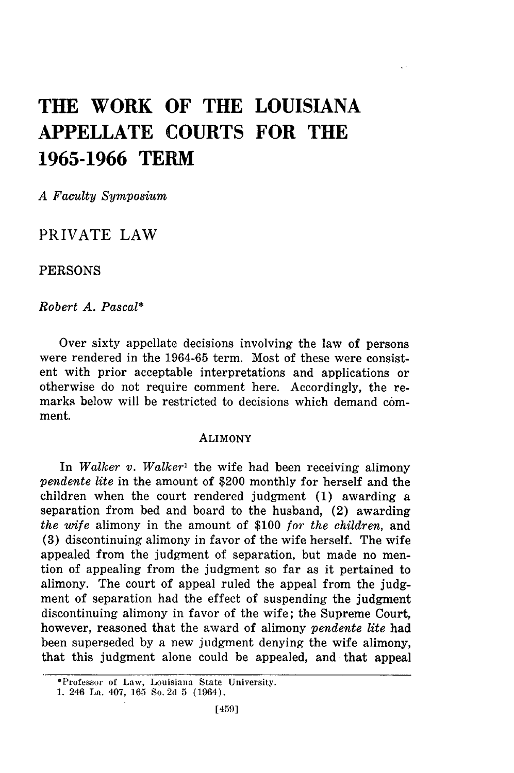## **THE WORK OF THE LOUISIANA APPELLATE COURTS FOR THE 1965-1966 TERM**

*A Faculty Symposium*

PRIVATE LAW

PERSONS

*Robert A. Pascal\**

Over sixty appellate decisions involving the law of persons were rendered in the 1964-65 term. Most of these were consistent with prior acceptable interpretations and applications or otherwise do not require comment here. Accordingly, the remarks below will be restricted to decisions which demand comment.

#### ALIMONY

In *Walker v. Walker'* the wife had been receiving alimony *pendente lite* in the amount of \$200 monthly for herself and the children when the court rendered judgment (1) awarding a separation from bed and board to the husband, (2) awarding *the wife* alimony in the amount of \$100 *for the children,* and (3) discontinuing alimony in favor of the wife herself. The wife appealed from the judgment of separation, but made no mention of appealing from the judgment so far as it pertained to alimony. The court of appeal ruled the appeal from the judgment of separation had the effect of suspending the judgment discontinuing alimony in favor of the wife; the Supreme Court, however, reasoned that the award of alimony *pendente lite* had been superseded by a new judgment denying the wife alimony, that this judgment alone could be appealed, and that appeal

<sup>\*</sup>Professor of Law, Louisiana State University.

**<sup>1.</sup>** 246 La. 407, **165** So. 2d 5 (1964).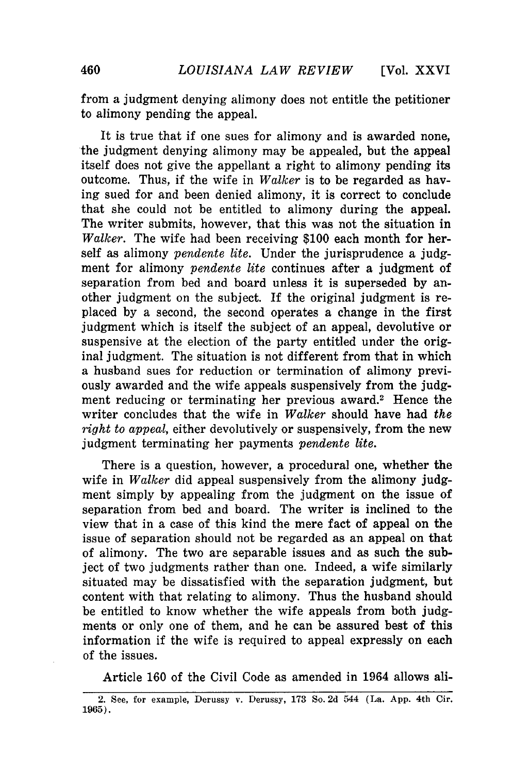from a judgment denying alimony does not entitle the petitioner to alimony pending the appeal.

It is true that if one sues for alimony and is awarded none, the judgment denying alimony may be appealed, but the appeal itself does not give the appellant a right to alimony pending its outcome. Thus, if the wife in *Walker* is to be regarded as having sued for and been denied alimony, it is correct to conclude that she could not be entitled to alimony during the appeal. The writer submits, however, that this was not the situation in *Walker.* The wife had been receiving \$100 each month for herself as alimony *pendente lite.* Under the jurisprudence a judgment for alimony *pendente lite* continues after a judgment of separation from bed and board unless it is superseded by another judgment on the subject. If the original judgment is replaced by a second, the second operates a change in the first judgment which is itself the subject of an appeal, devolutive or suspensive at the election of the party entitled under the original judgment. The situation is not different from that in which a husband sues for reduction or termination of alimony previously awarded and the wife appeals suspensively from the judgment reducing or terminating her previous award.<sup>2</sup> Hence the writer concludes that the wife in *Walker* should have had *the right to appeal,* either devolutively or suspensively, from the new judgment terminating her payments *pendente lite.*

There is a question, however, a procedural one, whether the wife in *Walker* did appeal suspensively from the alimony judgment simply by appealing from the judgment on the issue of separation from bed and board. The writer is inclined to the view that in a case of this kind the mere fact of appeal on the issue of separation should not be regarded as an appeal on that of alimony. The two are separable issues and as such the subject of two judgments rather than one. Indeed, a wife similarly situated may be dissatisfied with the separation judgment, but content with that relating to alimony. Thus the husband should be entitled to know whether the wife appeals from both judgments or only one of them, and he can be assured best of this information if the wife is required to appeal expressly on each of the issues.

Article 160 of the Civil Code as amended in 1964 allows ali-

<sup>2.</sup> See, for example, Derussy v. Derussy, 173 So. 2d 544 (La. App. 4th Cir. 1965).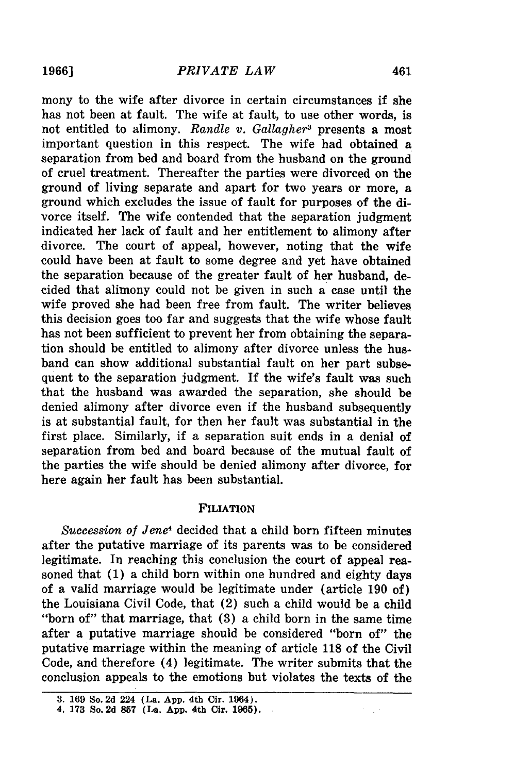mony to the wife after divorce in certain circumstances if she has not been at fault. The wife at fault, to use other words, is not entitled to alimony. *Randle v. Gallagher3* presents a most important question in this respect. The wife had obtained a separation from bed and board from the husband on the ground of cruel treatment. Thereafter the parties were divorced on the ground of living separate and apart for two years or more, a ground which excludes the issue of fault for purposes of the divorce itself. The wife contended that the separation judgment indicated her lack of fault and her entitlement to alimony after divorce. The court of appeal, however, noting that the wife could have been at fault to some degree and yet have obtained the separation because of the greater fault of her husband, decided that alimony could not be given in such a case until the wife proved she had been free from fault. The writer believes this decision goes too far and suggests that the wife whose fault has not been sufficient to prevent her from obtaining the separation should be entitled to alimony after divorce unless the husband can show additional substantial fault on her part subsequent to the separation judgment. **If** the wife's fault **was** such that the husband was awarded the separation, she should be denied alimony after divorce even if the husband subsequently is at substantial fault, for then her fault was substantial in the first place. Similarly, if a separation suit ends in a denial of separation from bed and board because of the mutual fault of the parties the wife should be denied alimony after divorce, for here again her fault has been substantial.

#### **FILIATION**

*Succession of Jene4* decided that a child born fifteen minutes after the putative marriage of its parents was to be considered legitimate. In reaching this conclusion the court of appeal reasoned that **(1)** a child born within one hundred and eighty days of a valid marriage would be legitimate under (article **190** of) the Louisiana Civil Code, that (2) such a child would be a child "born of" that marriage, that **(3)** a child born in the same time after a putative marriage should be considered "born of" the putative marriage within the meaning of article **118** of the Civil Code, and therefore (4) legitimate. The writer submits that the conclusion appeals to the emotions but violates the texts of the

**<sup>3. 169</sup> So. 2d 224 (La. App. 4th Cir. 1964).**

**<sup>4. 173</sup> So. 2d 857 (La. App. 4th Cir. 1965).**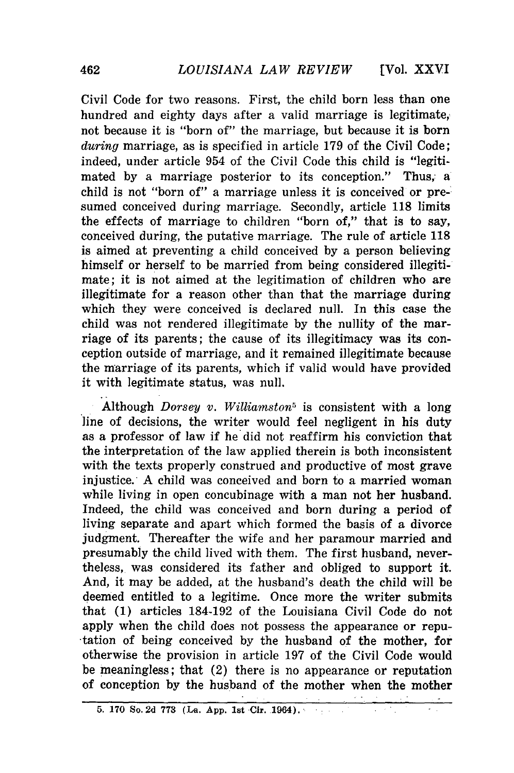**[Vol.** XXVI

Civil Code for two reasons. First, the child born less than one hundred and eighty days after a valid marriage is legitimate, not because it is "born of" the marriage, but because it is born *during* marriage, as is specified in article 179 of the Civil Code; indeed, under article 954 of the Civil Code this child is "legitimated by a marriage posterior to its conception." Thus, a child is not "born of" a marriage unless it is conceived or presumed conceived during marriage. Secondly, article 118 limits the effects of marriage to children "born of," that is to say, conceived during, the putative marriage. The rule of article 118 is aimed at preventing a child conceived by a person believing himself or herself to be married from being considered illegitimate; it is not aimed at the legitimation of children who are illegitimate for a reason other than that the marriage during which they were conceived is declared null. In this case the child was not rendered illegitimate by the nullity of the marriage of its parents; the cause of its illegitimacy was its conception outside of marriage, and it remained illegitimate because the marriage of its parents, which if valid would have provided it with legitimate status, was null.

Although *Dorsey v. Williamston*<sup>5</sup> is consistent with a long line of decisions, the writer would feel negligent in his duty as a professor of law if he did not reaffirm his conviction that the interpretation of the law applied therein is both inconsistent with the texts properly construed and productive of most grave injustice. A child was conceived and born to a married woman while living in open concubinage with a man not her husband. Indeed, the child was conceived and born during a period of living separate and apart which formed the basis of a divorce judgment. Thereafter the wife and her paramour married and presumably the child lived with them. The first husband, nevertheless, was considered its father and obliged to support it. And, it may be added, at the husband's death the child will be deemed entitled to a legitime. Once more the writer submits that (1) articles 184-192 of the Louisiana Civil Code do not apply when the child does not possess the appearance or reputation of being conceived by the husband of the mother, for otherwise the provision in article 197 of the Civil Code would be meaningless; that (2) there is no appearance or reputation of conception by the husband of the mother when the mother

**<sup>5. 170</sup> So. 2d 773** (La. **App. 1st Cir. 1964).**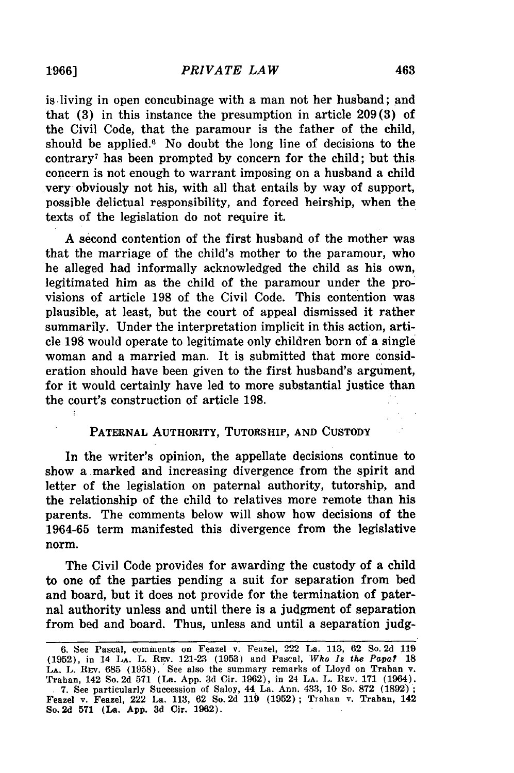is living in open concubinage with a man not her husband; and that **(3)** in this instance the presumption in article 209(3) of the Civil Code, that the paramour is the father of the child, should be applied." No doubt the long line of decisions to the contrary' has been prompted by concern for the child; but this concern is not enough to warrant imposing on a husband a child very obviously not his, with all that entails by way of support, possible delictual responsibility, and forced heirship, when the texts of the legislation do not require it.

A second contention of the first husband of the mother was that the marriage of the child's mother to the paramour, who he alleged had informally acknowledged the child as his own, legitimated him as the child of the paramour under the provisions of article 198 of the Civil Code. This contention was plausible, at least, but the court of appeal dismissed it rather summarily. Under the interpretation implicit in this action, article 198 would operate to legitimate only children born of a single woman and a married man. It is submitted that more consideration should have been given to the first husband's argument, for it would certainly have led to more substantial justice than the court's construction of article 198.

#### PATERNAL AUTHORITY, TUTORSHIP, **AND** CUSTODY

In the writer's opinion, the appellate decisions continue to show a marked and increasing divergence from the spirit and letter of the legislation on paternal authority, tutorship, and the relationship of the child to relatives more remote than his parents. The comments below will show how decisions of the 1964-65 term manifested this divergence from the legislative norm.

The Civil Code provides for awarding the custody of a child to one of the parties pending a suit for separation from bed and board, but it does not provide for the termination of paternal authority unless and until there is a judgment of separation from bed and board. Thus, unless and until a separation **judg-**

**1966]**

<sup>6.</sup> See Pascal, comments on Feazel v. Feazel, 222 La. 113, 62 So. 2d 119 (1952), in 14 LA. L. REv. 121-23 (1953) and Pascal, *Who Is the Papa?* **18** LA. L. REV. 685 (1958). See also the summary remarks of Lloyd on Trahan v Trahan, 142 So. 2d 571 (La. App. 3d Cir. 1962), in 24 **LA.** L. REV. 171 (1964). **.** 7. See particularly Succession of Saloy, 44 La. Ann. 433, 10 So. 872 (1892); Feazel v. Feazel, 222 La. 113, 62 So. 2d 119 (1952) ; Trahan v. Trahan, 142 So. **2d 571** (La. **App. 3d** Cir. **1962).**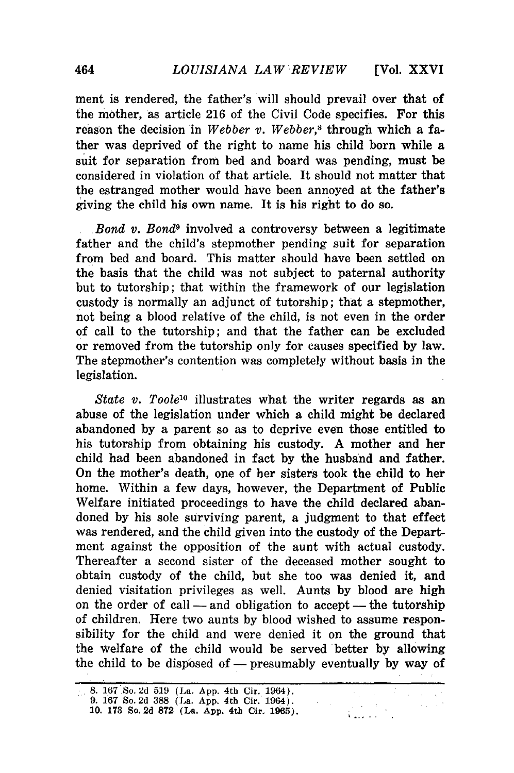ment is rendered, the father's will should prevail over that of the mother, as article **216** of the Civil Code specifies. For this reason the decision in *Webber v. Webber,8* through which a father was deprived of the right to name his child born while a suit for separation from bed and board was pending, must be considered in violation of that article. It should not matter that the estranged mother would have been annoyed at the father's giving the child his own name. It is his right to do so.

*Bond v. Bond9* involved a controversy between a legitimate father and the child's stepmother pending suit for separation from bed and board. This matter should have been settled on the basis that the child was not subject to paternal authority but to tutorship; that within the framework of our legislation custody is normally an adjunct of tutorship; that a stepmother, not being a blood relative of the child, is not even in the order of call to the tutorship; and that the father can be excluded or removed from the tutorship only for causes specified **by** law. The stepmother's contention was completely without basis in the legislation.

*State v. Toole*<sup>10</sup> illustrates what the writer regards as an abuse of the legislation under which a child might be declared abandoned **by** a parent so as to deprive even those entitled to his tutorship from obtaining his custody. **A** mother and her child had been abandoned in fact **by** the husband and father. On the mother's death, one of her sisters took the child to her home. Within a few days, however, the Department of Public Welfare initiated proceedings to have the **child** declared abandoned **by** his sole surviving parent, a judgment to that effect was rendered, and the child given into the custody of the Department against the opposition of the aunt with actual custody. Thereafter a second sister of the deceased mother sought to obtain custody of the child, but she too was denied it, and denied visitation privileges as well. Aunts **by** blood are high on the order of call — and obligation to accept — the tutorship of children. Here two aunts **by** blood wished to assume responsibility for the child and were denied it on the ground that the welfare of the child would be served better **by** allowing the child to be disposed of - presumably eventually by way of

<sup>8. 167</sup> So. 2d 519 (La. App. 4th Cir. 1964). **9.** 167 So. 2d **388** (La. **App.** 4th Cir. 1964).  $\mathcal{L}^{\text{c}}(\mathcal{A})$  $\sim 10$ **10. 178** So. **2d 872** (La. App. 4th Cir. 1905).  $\sim$ ويورونه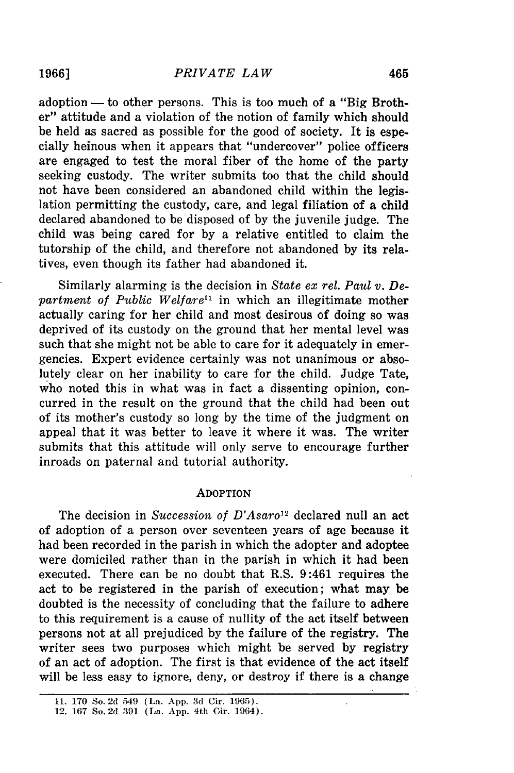adoption — to other persons. This is too much of a "Big Brother" attitude and a violation of the notion of family which should be held as sacred as possible for the good of society. It is especially heinous when it appears that "undercover" police officers are engaged to test the moral fiber of the home of the party seeking custody. The writer submits too that the child should not have been considered an abandoned child within the legislation permitting the custody, care, and legal filiation of a child declared abandoned to be disposed of by the juvenile judge. The child was being cared for by a relative entitled to claim the tutorship of the child, and therefore not abandoned by its relatives, even though its father had abandoned it.

Similarly alarming is the decision in *State ex rel. Paul v. Department of Public Welfare"* in which an illegitimate mother actually caring for her child and most desirous of doing so was deprived of its custody on the ground that her mental level was such that she might not be able to care for it adequately in emergencies. Expert evidence certainly was not unanimous or absolutely clear on her inability to care for the child. Judge Tate, who noted this in what was in fact a dissenting opinion, concurred in the result on the ground that the child had been out of its mother's custody so long by the time of the judgment on appeal that it was better to leave it where it was. The writer submits that this attitude will only serve to encourage further inroads on paternal and tutorial authority.

#### **ADOPTION**

The decision in *Succession of D'Asaro'2* declared null an act of adoption of a person over seventeen years of age because it had been recorded in the parish in which the adopter and adoptee were domiciled rather than in the parish in which it had been executed. There can be no doubt that R.S. 9:461 requires the act to be registered in the parish of execution; what may be doubted is the necessity of concluding that the failure to adhere to this requirement is a cause of nullity of the act itself between persons not at all prejudiced by the failure of the registry. The writer sees two purposes which might be served by registry of an act of adoption. The first is that evidence of the act itself will be less easy to ignore, deny, or destroy if there is a change

**<sup>11. 170</sup>** So. **2d** 549 (La. **App. 3d** Cir. **1965).**

**<sup>12. 167</sup>** So. **2d 391** (La. **App.** 4th Cir. 1964).